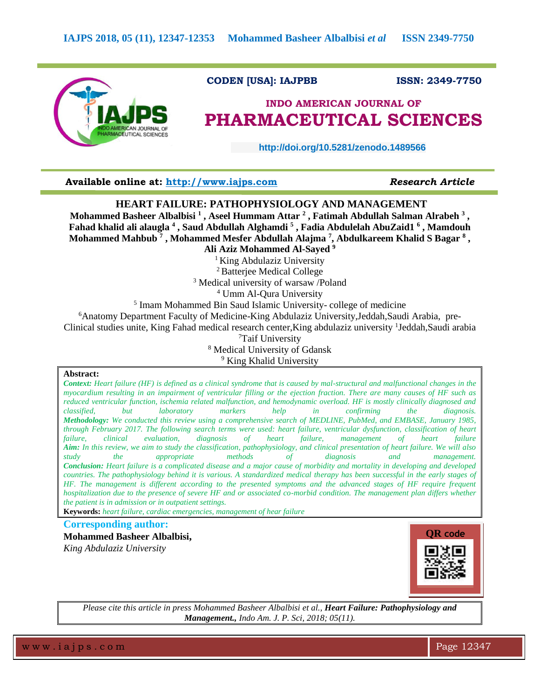

# **CODEN [USA]: IAJPBB ISSN: 2349-7750**

# **INDO AMERICAN JOURNAL OF PHARMACEUTICAL SCIENCES**

 **http://doi.org/10.5281/zenodo.1489566** 

# **Available online at: [http://www.iajps.com](http://www.iajps.com/)** *Research Article*

# **HEART FAILURE: PATHOPHYSIOLOGY AND MANAGEMENT**

**Mohammed Basheer Albalbisi <sup>1</sup> , Aseel Hummam Attar <sup>2</sup> , Fatimah Abdullah Salman Alrabeh <sup>3</sup> , Fahad khalid ali alaugla <sup>4</sup> , Saud Abdullah Alghamdi <sup>5</sup> , Fadia Abdulelah AbuZaid1 <sup>6</sup> , Mamdouh Mohammed Mahbub <sup>7</sup> , Mohammed Mesfer Abdullah Alajma <sup>7</sup> , Abdulkareem Khalid S Bagar <sup>8</sup> , Ali Aziz Mohammed Al-Sayed <sup>9</sup>**

<sup>1</sup> King Abdulaziz University

<sup>2</sup>Batterjee Medical College

<sup>3</sup> Medical university of warsaw /Poland

<sup>4</sup> Umm Al-Qura University

<sup>5</sup> Imam Mohammed Bin Saud Islamic University-college of medicine

<sup>6</sup>Anatomy Department Faculty of Medicine-King Abdulaziz University, Jeddah, Saudi Arabia, pre-

Clinical studies unite, King Fahad medical research center, King abdulaziz university <sup>1</sup>Jeddah, Saudi arabia

<sup>7</sup>Taif University

<sup>8</sup> Medical University of Gdansk

<sup>9</sup> King Khalid University

# **Abstract:**

*Context: Heart failure (HF) is defined as a clinical syndrome that is caused by mal-structural and malfunctional changes in the myocardium resulting in an impairment of ventricular filling or the ejection fraction. There are many causes of HF such as reduced ventricular function, ischemia related malfunction, and hemodynamic overload. HF is mostly clinically diagnosed and classified, but laboratory markers help in confirming the diagnosis. Methodology: We conducted this review using a comprehensive search of MEDLINE, PubMed, and EMBASE, January 1985, through February 2017. The following search terms were used: heart failure, ventricular dysfunction, classification of heart failure, clinical evaluation, diagnosis of heart failure, management of heart failure Aim: In this review, we aim to study the classification, pathophysiology, and clinical presentation of heart failure. We will also study the appropriate methods of diagnosis and management. Conclusion: Heart failure is a complicated disease and a major cause of morbidity and mortality in developing and developed countries. The pathophysiology behind it is various. A standardized medical therapy has been successful in the early stages of HF. The management is different according to the presented symptoms and the advanced stages of HF require frequent hospitalization due to the presence of severe HF and or associated co-morbid condition. The management plan differs whether the patient is in admission or in outpatient settings.*

**Keywords:** *heart failure, cardiac emergencies, management of hear failure*

**Corresponding author:** 

**Mohammed Basheer Albalbisi,** *King Abdulaziz University*



*Please cite this article in press Mohammed Basheer Albalbisi et al., Heart Failure: Pathophysiology and Management., Indo Am. J. P. Sci, 2018; 05(11).*

w w w .iaips.com **Page 12347**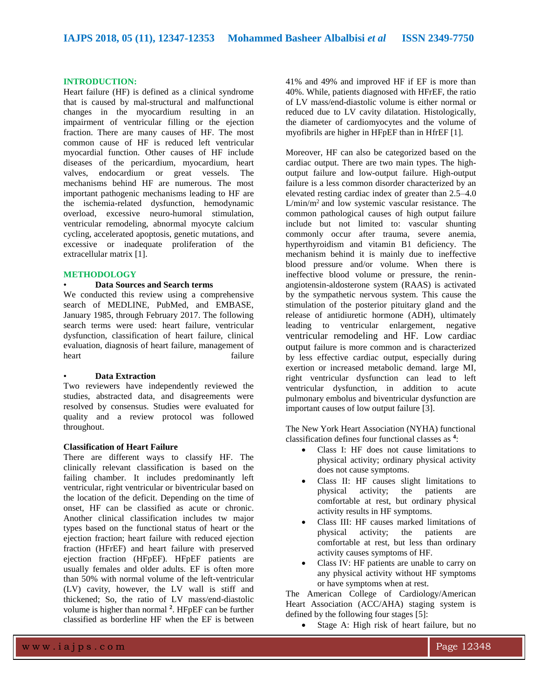#### **INTRODUCTION:**

Heart failure (HF) is defined as a clinical syndrome that is caused by mal-structural and malfunctional changes in the myocardium resulting in an impairment of ventricular filling or the ejection fraction. There are many causes of HF. The most common cause of HF is reduced left ventricular myocardial function. Other causes of HF include diseases of the pericardium, myocardium, heart valves, endocardium or great vessels. The mechanisms behind HF are numerous. The most important pathogenic mechanisms leading to HF are the ischemia-related dysfunction, hemodynamic overload, excessive neuro-humoral stimulation, ventricular remodeling, abnormal myocyte calcium cycling, accelerated apoptosis, genetic mutations, and excessive or inadequate proliferation of the extracellular matrix [1].

# **METHODOLOGY**

# • **Data Sources and Search terms**

We conducted this review using a comprehensive search of MEDLINE, PubMed, and EMBASE, January 1985, through February 2017. The following search terms were used: heart failure, ventricular dysfunction, classification of heart failure, clinical evaluation, diagnosis of heart failure, management of heart failure

# • **Data Extraction**

Two reviewers have independently reviewed the studies, abstracted data, and disagreements were resolved by consensus. Studies were evaluated for quality and a review protocol was followed throughout.

### **Classification of Heart Failure**

There are different ways to classify HF. The clinically relevant classification is based on the failing chamber. It includes predominantly left ventricular, right ventricular or biventricular based on the location of the deficit. Depending on the time of onset, HF can be classified as acute or chronic. Another clinical classification includes tw major types based on the functional status of heart or the ejection fraction; heart failure with reduced ejection fraction (HFrEF) and heart failure with preserved ejection fraction (HFpEF). HFpEF patients are usually females and older adults. EF is often more than 50% with normal volume of the left-ventricular (LV) cavity, however, the LV wall is stiff and thickened; So, the ratio of LV mass/end-diastolic volume is higher than normal **<sup>2</sup>** . HFpEF can be further classified as borderline HF when the EF is between

41% and 49% and improved HF if EF is more than 40%. While, patients diagnosed with HFrEF, the ratio of LV mass/end-diastolic volume is either normal or reduced due to LV cavity dilatation. Histologically, the diameter of cardiomyocytes and the volume of myofibrils are higher in HFpEF than in HfrEF [1].

Moreover, HF can also be categorized based on the cardiac output. There are two main types. The highoutput failure and low-output failure. High-output failure is a less common disorder characterized by an elevated resting cardiac index of greater than 2.5–4.0 L/min/m<sup>2</sup> and low systemic vascular resistance. The common pathological causes of high output failure include but not limited to: vascular shunting commonly occur after trauma, severe anemia, hyperthyroidism and vitamin B1 deficiency. The mechanism behind it is mainly due to ineffective blood pressure and/or volume. When there is ineffective blood volume or pressure, the reninangiotensin-aldosterone system (RAAS) is activated by the sympathetic nervous system. This cause the stimulation of the posterior pituitary gland and the release of antidiuretic hormone (ADH), ultimately leading to ventricular enlargement, negative ventricular remodeling and HF. Low cardiac output failure is more common and is characterized by less effective cardiac output, especially during exertion or increased metabolic demand. large MI, right ventricular dysfunction can lead to left ventricular dysfunction, in addition to acute pulmonary embolus and biventricular dysfunction are important causes of low output failure [3].

The New York Heart Association (NYHA) functional classification defines four functional classes as **<sup>4</sup>** :

- Class I: HF does not cause limitations to physical activity; ordinary physical activity does not cause symptoms.
- Class II: HF causes slight limitations to physical activity; the patients are comfortable at rest, but ordinary physical activity results in HF symptoms.
- Class III: HF causes marked limitations of physical activity; the patients are comfortable at rest, but less than ordinary activity causes symptoms of HF.
- Class IV: HF patients are unable to carry on any physical activity without HF symptoms or have symptoms when at rest.

The American College of Cardiology/American Heart Association (ACC/AHA) staging system is defined by the following four stages [5]:

• Stage A: High risk of heart failure, but no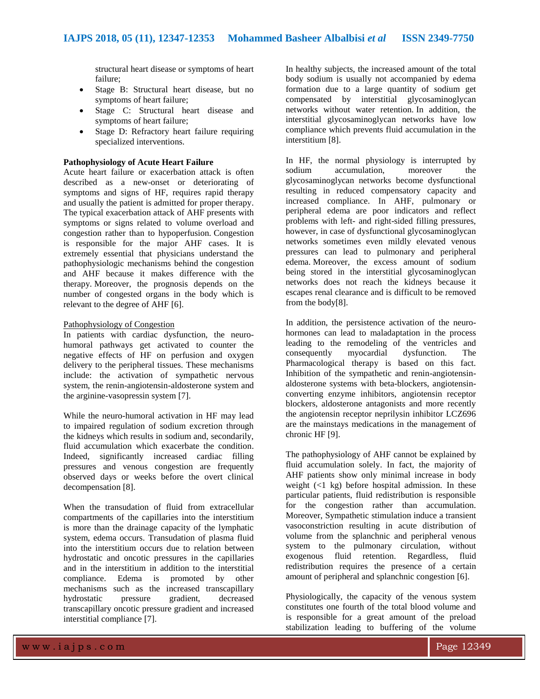structural heart disease or symptoms of heart failure;

- Stage B: Structural heart disease, but no symptoms of heart failure;
- Stage C: Structural heart disease and symptoms of heart failure;
- Stage D: Refractory heart failure requiring specialized interventions.

# **Pathophysiology of Acute Heart Failure**

Acute heart failure or exacerbation attack is often described as a new-onset or deteriorating of symptoms and signs of HF, requires rapid therapy and usually the patient is admitted for proper therapy. The typical exacerbation attack of AHF presents with symptoms or signs related to volume overload and congestion rather than to hypoperfusion. Congestion is responsible for the major AHF cases. It is extremely essential that physicians understand the pathophysiologic mechanisms behind the congestion and AHF because it makes difference with the therapy. Moreover, the prognosis depends on the number of congested organs in the body which is relevant to the degree of AHF [6].

# Pathophysiology of Congestion

In patients with cardiac dysfunction, the neurohumoral pathways get activated to counter the negative effects of HF on perfusion and oxygen delivery to the peripheral tissues. These mechanisms include: the activation of sympathetic nervous system, the renin-angiotensin-aldosterone system and the arginine-vasopressin system [7].

While the neuro-humoral activation in HF may lead to impaired regulation of sodium excretion through the kidneys which results in sodium and, secondarily, fluid accumulation which exacerbate the condition. Indeed, significantly increased cardiac filling pressures and venous congestion are frequently observed days or weeks before the overt clinical decompensation [8].

When the transudation of fluid from extracellular compartments of the capillaries into the interstitium is more than the drainage capacity of the lymphatic system, edema occurs. Transudation of plasma fluid into the interstitium occurs due to relation between hydrostatic and oncotic pressures in the capillaries and in the interstitium in addition to the interstitial compliance. Edema is promoted by other mechanisms such as the increased transcapillary hydrostatic pressure gradient, decreased transcapillary oncotic pressure gradient and increased interstitial compliance [7].

In healthy subjects, the increased amount of the total body sodium is usually not accompanied by edema formation due to a large quantity of sodium get compensated by interstitial glycosaminoglycan networks without water retention. In addition, the interstitial glycosaminoglycan networks have low compliance which prevents fluid accumulation in the interstitium [8].

In HF, the normal physiology is interrupted by sodium accumulation, moreover the glycosaminoglycan networks become dysfunctional resulting in reduced compensatory capacity and increased compliance. In AHF, pulmonary or peripheral edema are poor indicators and reflect problems with left- and right-sided filling pressures, however, in case of dysfunctional glycosaminoglycan networks sometimes even mildly elevated venous pressures can lead to pulmonary and peripheral edema. Moreover, the excess amount of sodium being stored in the interstitial glycosaminoglycan networks does not reach the kidneys because it escapes renal clearance and is difficult to be removed from the body[8].

In addition, the persistence activation of the neurohormones can lead to maladaptation in the process leading to the remodeling of the ventricles and consequently myocardial dysfunction. The Pharmacological therapy is based on this fact. Inhibition of the sympathetic and renin-angiotensinaldosterone systems with beta-blockers, angiotensinconverting enzyme inhibitors, angiotensin receptor blockers, aldosterone antagonists and more recently the angiotensin receptor neprilysin inhibitor LCZ696 are the mainstays medications in the management of chronic HF [9].

The pathophysiology of AHF cannot be explained by fluid accumulation solely. In fact, the majority of AHF patients show only minimal increase in body weight  $(\leq 1 \text{ kg})$  before hospital admission. In these particular patients, fluid redistribution is responsible for the congestion rather than accumulation. Moreover, Sympathetic stimulation induce a transient vasoconstriction resulting in acute distribution of volume from the splanchnic and peripheral venous system to the pulmonary circulation, without exogenous fluid retention. Regardless, fluid redistribution requires the presence of a certain amount of peripheral and splanchnic congestion [6].

Physiologically, the capacity of the venous system constitutes one fourth of the total blood volume and is responsible for a great amount of the preload stabilization leading to buffering of the volume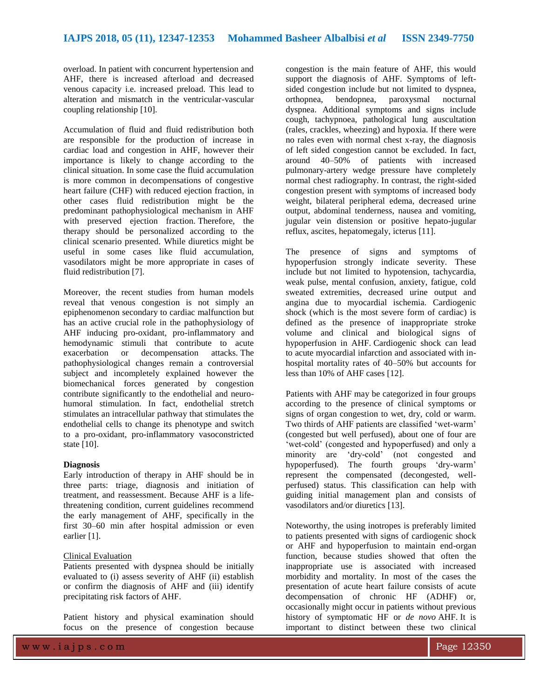overload. In patient with concurrent hypertension and AHF, there is increased afterload and decreased venous capacity i.e. increased preload. This lead to alteration and mismatch in the ventricular-vascular coupling relationship [10].

Accumulation of fluid and fluid redistribution both are responsible for the production of increase in cardiac load and congestion in AHF, however their importance is likely to change according to the clinical situation. In some case the fluid accumulation is more common in decompensations of congestive heart failure (CHF) with reduced ejection fraction, in other cases fluid redistribution might be the predominant pathophysiological mechanism in AHF with preserved ejection fraction. Therefore, the therapy should be personalized according to the clinical scenario presented. While diuretics might be useful in some cases like fluid accumulation, vasodilators might be more appropriate in cases of fluid redistribution [7].

Moreover, the recent studies from human models reveal that venous congestion is not simply an epiphenomenon secondary to cardiac malfunction but has an active crucial role in the pathophysiology of AHF inducing pro-oxidant, pro-inflammatory and hemodynamic stimuli that contribute to acute exacerbation or decompensation attacks. The pathophysiological changes remain a controversial subject and incompletely explained however the biomechanical forces generated by congestion contribute significantly to the endothelial and neurohumoral stimulation. In fact, endothelial stretch stimulates an intracellular pathway that stimulates the endothelial cells to change its phenotype and switch to a pro-oxidant, pro-inflammatory vasoconstricted state [10].

# **Diagnosis**

Early introduction of therapy in AHF should be in three parts: triage, diagnosis and initiation of treatment, and reassessment. Because AHF is a lifethreatening condition, current guidelines recommend the early management of AHF, specifically in the first 30–60 min after hospital admission or even earlier [1].

# Clinical Evaluation

Patients presented with dyspnea should be initially evaluated to (i) assess severity of AHF (ii) establish or confirm the diagnosis of AHF and (iii) identify precipitating risk factors of AHF.

Patient history and physical examination should focus on the presence of congestion because

congestion is the main feature of AHF, this would support the diagnosis of AHF. Symptoms of leftsided congestion include but not limited to dyspnea, orthopnea, bendopnea, paroxysmal nocturnal dyspnea. Additional symptoms and signs include cough, tachypnoea, pathological lung auscultation (rales, crackles, wheezing) and hypoxia. If there were no rales even with normal chest x-ray, the diagnosis of left sided congestion cannot be excluded. In fact, around 40–50% of patients with increased pulmonary-artery wedge pressure have completely normal chest radiography. In contrast, the right-sided congestion present with symptoms of increased body weight, bilateral peripheral edema, decreased urine output, abdominal tenderness, nausea and vomiting, jugular vein distension or positive hepato-jugular reflux, ascites, hepatomegaly, icterus [11].

The presence of signs and symptoms of hypoperfusion strongly indicate severity. These include but not limited to hypotension, tachycardia, weak pulse, mental confusion, anxiety, fatigue, cold sweated extremities, decreased urine output and angina due to myocardial ischemia. Cardiogenic shock (which is the most severe form of cardiac) is defined as the presence of inappropriate stroke volume and clinical and biological signs of hypoperfusion in AHF. Cardiogenic shock can lead to acute myocardial infarction and associated with inhospital mortality rates of 40–50% but accounts for less than 10% of AHF cases [12].

Patients with AHF may be categorized in four groups according to the presence of clinical symptoms or signs of organ congestion to wet, dry, cold or warm. Two thirds of AHF patients are classified 'wet-warm' (congested but well perfused), about one of four are 'wet-cold' (congested and hypoperfused) and only a minority are 'dry-cold' (not congested and hypoperfused). The fourth groups 'dry-warm' represent the compensated (decongested, wellperfused) status. This classification can help with guiding initial management plan and consists of vasodilators and/or diuretics [13].

Noteworthy, the using inotropes is preferably limited to patients presented with signs of cardiogenic shock or AHF and hypoperfusion to maintain end-organ function, because studies showed that often the inappropriate use is associated with increased morbidity and mortality. In most of the cases the presentation of acute heart failure consists of acute decompensation of chronic HF (ADHF) or, occasionally might occur in patients without previous history of symptomatic HF or *de novo* AHF. It is important to distinct between these two clinical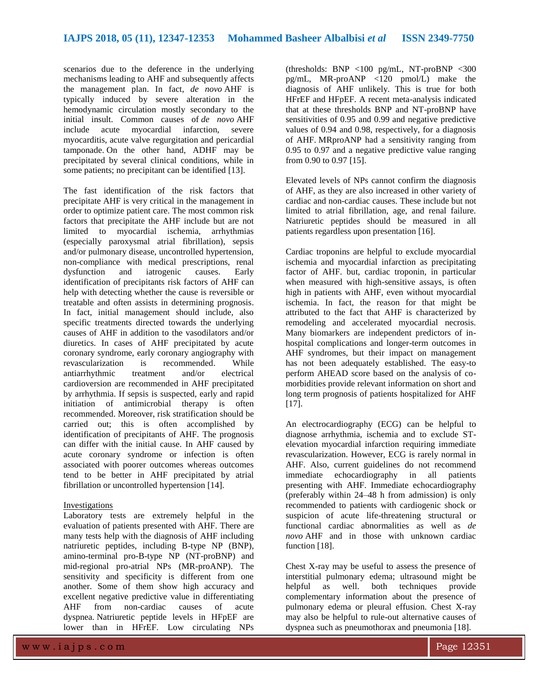scenarios due to the deference in the underlying mechanisms leading to AHF and subsequently affects the management plan. In fact, *de novo* AHF is typically induced by severe alteration in the hemodynamic circulation mostly secondary to the initial insult. Common causes of *de novo* AHF include acute myocardial infarction, severe myocarditis, acute valve regurgitation and pericardial tamponade. On the other hand, ADHF may be precipitated by several clinical conditions, while in some patients; no precipitant can be identified [13].

The fast identification of the risk factors that precipitate AHF is very critical in the management in order to optimize patient care. The most common risk factors that precipitate the AHF include but are not limited to myocardial ischemia, arrhythmias (especially paroxysmal atrial fibrillation), sepsis and/or pulmonary disease, uncontrolled hypertension, non-compliance with medical prescriptions, renal<br>dysfunction and iatrogenic causes. Early dysfunction and iatrogenic causes. Early identification of precipitants risk factors of AHF can help with detecting whether the cause is reversible or treatable and often assists in determining prognosis. In fact, initial management should include, also specific treatments directed towards the underlying causes of AHF in addition to the vasodilators and/or diuretics. In cases of AHF precipitated by acute coronary syndrome, early coronary angiography with revascularization is recommended. While antiarrhythmic treatment and/or electrical cardioversion are recommended in AHF precipitated by arrhythmia. If sepsis is suspected, early and rapid initiation of antimicrobial therapy is often recommended. Moreover, risk stratification should be carried out; this is often accomplished by identification of precipitants of AHF. The prognosis can differ with the initial cause. In AHF caused by acute coronary syndrome or infection is often associated with poorer outcomes whereas outcomes tend to be better in AHF precipitated by atrial fibrillation or uncontrolled hypertension [14].

# Investigations

Laboratory tests are extremely helpful in the evaluation of patients presented with AHF. There are many tests help with the diagnosis of AHF including natriuretic peptides, including B-type NP (BNP), amino-terminal pro-B-type NP (NT-proBNP) and mid-regional pro-atrial NPs (MR-proANP). The sensitivity and specificity is different from one another. Some of them show high accuracy and excellent negative predictive value in differentiating AHF from non-cardiac causes of acute dyspnea. Natriuretic peptide levels in HFpEF are lower than in HFrEF. Low circulating NPs

(thresholds: BNP <100 pg/mL, NT-proBNP <300 pg/mL, MR-proANP <120 pmol/L) make the diagnosis of AHF unlikely. This is true for both HFrEF and HFpEF. A recent meta-analysis indicated that at these thresholds BNP and NT-proBNP have sensitivities of 0.95 and 0.99 and negative predictive values of 0.94 and 0.98, respectively, for a diagnosis of AHF. MRproANP had a sensitivity ranging from 0.95 to 0.97 and a negative predictive value ranging from 0.90 to 0.97 [15].

Elevated levels of NPs cannot confirm the diagnosis of AHF, as they are also increased in other variety of cardiac and non-cardiac causes. These include but not limited to atrial fibrillation, age, and renal failure. Natriuretic peptides should be measured in all patients regardless upon presentation [16].

Cardiac troponins are helpful to exclude myocardial ischemia and myocardial infarction as precipitating factor of AHF. but, cardiac troponin, in particular when measured with high-sensitive assays, is often high in patients with AHF, even without myocardial ischemia. In fact, the reason for that might be attributed to the fact that AHF is characterized by remodeling and accelerated myocardial necrosis. Many biomarkers are independent predictors of inhospital complications and longer-term outcomes in AHF syndromes, but their impact on management has not been adequately established. The easy-to perform AHEAD score based on the analysis of comorbidities provide relevant information on short and long term prognosis of patients hospitalized for AHF [17].

An electrocardiography (ECG) can be helpful to diagnose arrhythmia, ischemia and to exclude STelevation myocardial infarction requiring immediate revascularization. However, ECG is rarely normal in AHF. Also, current guidelines do not recommend immediate echocardiography in all patients presenting with AHF. Immediate echocardiography (preferably within 24–48 h from admission) is only recommended to patients with cardiogenic shock or suspicion of acute life-threatening structural or functional cardiac abnormalities as well as *de novo* AHF and in those with unknown cardiac function [18].

Chest X-ray may be useful to assess the presence of interstitial pulmonary edema; ultrasound might be helpful as well. both techniques provide complementary information about the presence of pulmonary edema or pleural effusion. Chest X-ray may also be helpful to rule-out alternative causes of dyspnea such as pneumothorax and pneumonia [18].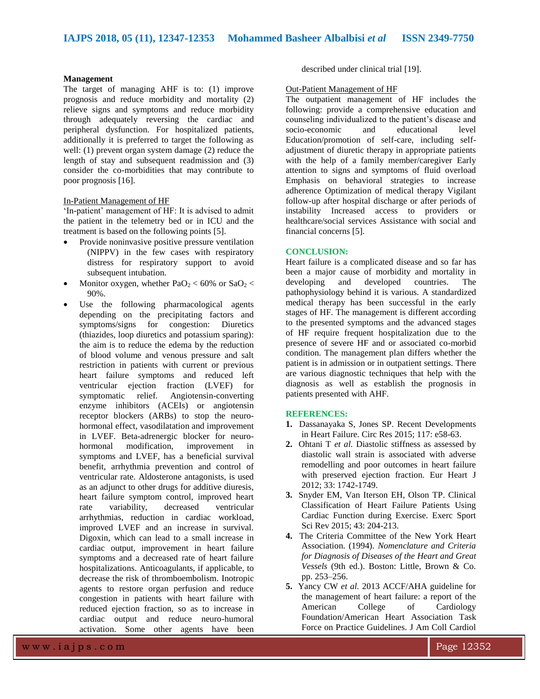# **Management**

The target of managing AHF is to: (1) improve prognosis and reduce morbidity and mortality (2) relieve signs and symptoms and reduce morbidity through adequately reversing the cardiac and peripheral dysfunction. For hospitalized patients, additionally it is preferred to target the following as well: (1) prevent organ system damage (2) reduce the length of stay and subsequent readmission and (3) consider the co-morbidities that may contribute to poor prognosis [16].

# In-Patient Management of HF

'In-patient' management of HF: It is advised to admit the patient in the telemetry bed or in ICU and the treatment is based on the following points [5].

- Provide noninvasive positive pressure ventilation (NIPPV) in the few cases with respiratory distress for respiratory support to avoid subsequent intubation.
- Monitor oxygen, whether  $PaO<sub>2</sub> < 60\%$  or  $SaO<sub>2</sub> <$ 90%.
- Use the following pharmacological agents depending on the precipitating factors and symptoms/signs for congestion: Diuretics (thiazides, loop diuretics and potassium sparing): the aim is to reduce the edema by the reduction of blood volume and venous pressure and salt restriction in patients with current or previous heart failure symptoms and reduced left ventricular ejection fraction (LVEF) for symptomatic relief. Angiotensin-converting enzyme inhibitors (ACEIs) or angiotensin receptor blockers (ARBs) to stop the neurohormonal effect, vasodilatation and improvement in LVEF. Beta-adrenergic blocker for neurohormonal modification, improvement in symptoms and LVEF, has a beneficial survival benefit, arrhythmia prevention and control of ventricular rate. Aldosterone antagonists, is used as an adjunct to other drugs for additive diuresis. heart failure symptom control, improved heart rate variability, decreased ventricular arrhythmias, reduction in cardiac workload, improved LVEF and an increase in survival. Digoxin, which can lead to a small increase in cardiac output, improvement in heart failure symptoms and a decreased rate of heart failure hospitalizations. Anticoagulants, if applicable, to decrease the risk of thromboembolism. Inotropic agents to restore organ perfusion and reduce congestion in patients with heart failure with reduced ejection fraction, so as to increase in cardiac output and reduce neuro-humoral activation. Some other agents have been

described under clinical trial [19].

#### Out-Patient Management of HF

The outpatient management of HF includes the following: provide a comprehensive education and counseling individualized to the patient's disease and socio-economic and educational level Education/promotion of self-care, including selfadjustment of diuretic therapy in appropriate patients with the help of a family member/caregiver Early attention to signs and symptoms of fluid overload Emphasis on behavioral strategies to increase adherence Optimization of medical therapy Vigilant follow-up after hospital discharge or after periods of instability Increased access to providers or healthcare/social services Assistance with social and financial concerns [5].

# **CONCLUSION:**

Heart failure is a complicated disease and so far has been a major cause of morbidity and mortality in developing and developed countries. The pathophysiology behind it is various. A standardized medical therapy has been successful in the early stages of HF. The management is different according to the presented symptoms and the advanced stages of HF require frequent hospitalization due to the presence of severe HF and or associated co-morbid condition. The management plan differs whether the patient is in admission or in outpatient settings. There are various diagnostic techniques that help with the diagnosis as well as establish the prognosis in patients presented with AHF.

### **REFERENCES:**

- **1.** Dassanayaka S, Jones SP. Recent Developments in Heart Failure. Circ Res 2015; 117: e58-63.
- **2.** Ohtani T *et al.* Diastolic stiffness as assessed by diastolic wall strain is associated with adverse remodelling and poor outcomes in heart failure with preserved ejection fraction. Eur Heart J 2012; 33: 1742-1749.
- **3.** Snyder EM, Van Iterson EH, Olson TP. Clinical Classification of Heart Failure Patients Using Cardiac Function during Exercise. Exerc Sport Sci Rev 2015; 43: 204-213.
- **4.** The Criteria Committee of the New York Heart Association. (1994). *Nomenclature and Criteria for Diagnosis of Diseases of the Heart and Great Vessels* (9th ed.). Boston: Little, Brown & Co. pp. 253–256.
- **5.** Yancy CW *et al.* 2013 ACCF/AHA guideline for the management of heart failure: a report of the American College of Cardiology Foundation/American Heart Association Task Force on Practice Guidelines. J Am Coll Cardiol